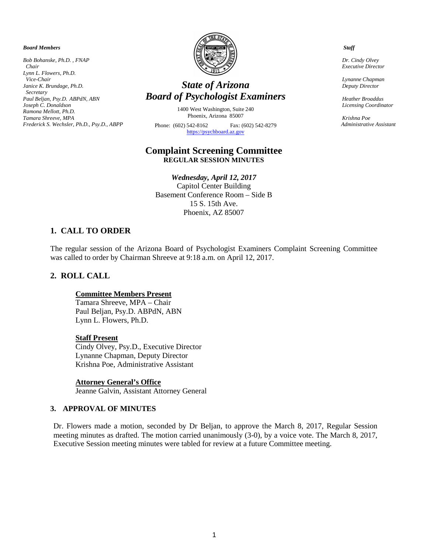*Board Members*

*Bob Bohanske, Ph.D. , FNAP Chair Lynn L. Flowers, Ph.D. Vice-Chair Janice K. Brundage, Ph.D. Secretary Paul Beljan, Psy.D. ABPdN, ABN Joseph C. Donaldson Ramona Mellott, Ph.D. Tamara Shreeve, MPA Frederick S. Wechsler, Ph.D., Psy.D., ABPP*



# *State of Arizona Board of Psychologist Examiners*

1400 West Washington, Suite 240 Phoenix, Arizona 85007 Phone: (602) 542-8162 Fax: (602) 542-8279 [https://psychboard.az.gov](https://psychboard.az.gov/) 

### **Complaint Screening Committee REGULAR SESSION MINUTES**

*Wednesday, April 12, 2017* Capitol Center Building Basement Conference Room – Side B 15 S. 15th Ave. Phoenix, AZ 85007

## **1. CALL TO ORDER**

The regular session of the Arizona Board of Psychologist Examiners Complaint Screening Committee was called to order by Chairman Shreeve at 9:18 a.m. on April 12, 2017.

## **2. ROLL CALL**

#### **Committee Members Present**

Tamara Shreeve, MPA – Chair Paul Beljan, Psy.D. ABPdN, ABN Lynn L. Flowers, Ph.D.

#### **Staff Present**

Cindy Olvey, Psy.D., Executive Director Lynanne Chapman, Deputy Director Krishna Poe, Administrative Assistant

**Attorney General's Office**

Jeanne Galvin, Assistant Attorney General

#### **3. APPROVAL OF MINUTES**

Dr. Flowers made a motion, seconded by Dr Beljan, to approve the March 8, 2017, Regular Session meeting minutes as drafted. The motion carried unanimously (3-0), by a voice vote. The March 8, 2017, Executive Session meeting minutes were tabled for review at a future Committee meeting.

 *Staff*

 *Dr. Cindy Olvey Executive Director*

 *Lynanne Chapman Deputy Director*

 *Heather Broaddus Licensing Coordinator* 

 *Krishna Poe Administrative Assistant*